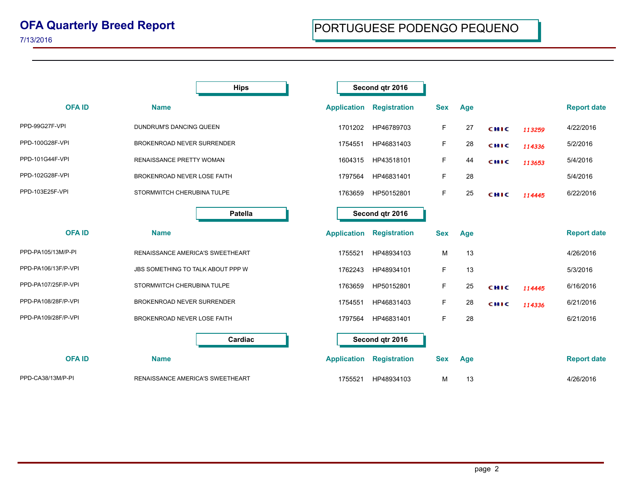## **OFA Quarterly Breed Report**

7/13/2016

|                     | <b>Hips</b>                             | Second qtr 2016    |                     |            |     |      |        |                    |
|---------------------|-----------------------------------------|--------------------|---------------------|------------|-----|------|--------|--------------------|
| <b>OFAID</b>        | <b>Name</b>                             | <b>Application</b> | <b>Registration</b> | <b>Sex</b> | Age |      |        | <b>Report date</b> |
| PPD-99G27F-VPI      | DUNDRUM'S DANCING QUEEN                 | 1701202            | HP46789703          | F          | 27  | CHIC | 113259 | 4/22/2016          |
| PPD-100G28F-VPI     | BROKENROAD NEVER SURRENDER              | 1754551            | HP46831403          | F          | 28  | CHIC | 114336 | 5/2/2016           |
| PPD-101G44F-VPI     | <b>RENAISSANCE PRETTY WOMAN</b>         | 1604315            | HP43518101          | F          | 44  | CHIC | 113653 | 5/4/2016           |
| PPD-102G28F-VPI     | BROKENROAD NEVER LOSE FAITH             | 1797564            | HP46831401          | F          | 28  |      |        | 5/4/2016           |
| PPD-103E25F-VPI     | STORMWITCH CHERUBINA TULPE              | 1763659            | HP50152801          | F          | 25  | CHIC | 114445 | 6/22/2016          |
|                     | Patella                                 |                    | Second qtr 2016     |            |     |      |        |                    |
| <b>OFAID</b>        | <b>Name</b>                             | <b>Application</b> | <b>Registration</b> | <b>Sex</b> | Age |      |        | <b>Report date</b> |
| PPD-PA105/13M/P-PI  | RENAISSANCE AMERICA'S SWEETHEART        | 1755521            | HP48934103          | М          | 13  |      |        | 4/26/2016          |
| PPD-PA106/13F/P-VPI | JBS SOMETHING TO TALK ABOUT PPP W       | 1762243            | HP48934101          | F          | 13  |      |        | 5/3/2016           |
| PPD-PA107/25F/P-VPI | STORMWITCH CHERUBINA TULPE              | 1763659            | HP50152801          | F          | 25  | сніс | 114445 | 6/16/2016          |
| PPD-PA108/28F/P-VPI | BROKENROAD NEVER SURRENDER              | 1754551            | HP46831403          | F          | 28  | CHIC | 114336 | 6/21/2016          |
| PPD-PA109/28F/P-VPI | BROKENROAD NEVER LOSE FAITH             | 1797564            | HP46831401          | F          | 28  |      |        | 6/21/2016          |
|                     | Cardiac                                 |                    | Second qtr 2016     |            |     |      |        |                    |
| <b>OFAID</b>        | <b>Name</b>                             | <b>Application</b> | <b>Registration</b> | <b>Sex</b> | Age |      |        | <b>Report date</b> |
| PPD-CA38/13M/P-PI   | <b>RENAISSANCE AMERICA'S SWEETHEART</b> | 1755521            | HP48934103          | м          | 13  |      |        | 4/26/2016          |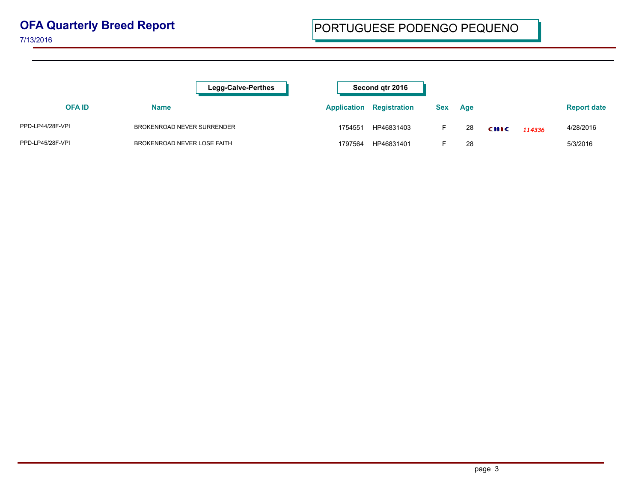## **OFA Quarterly Breed Report**

7/13/2016

|                  | <b>Legg-Calve-Perthes</b>   | Second atr 2016    |                     |            |     |      |        |                    |
|------------------|-----------------------------|--------------------|---------------------|------------|-----|------|--------|--------------------|
| <b>OFAID</b>     | Name                        | <b>Application</b> | <b>Registration</b> | <b>Sex</b> | Age |      |        | <b>Report date</b> |
| PPD-LP44/28F-VPI | BROKENROAD NEVER SURRENDER  | 1754551            | HP46831403          |            | 28  | CHIC | 114336 | 4/28/2016          |
| PPD-LP45/28F-VPI | BROKENROAD NEVER LOSE FAITH | 1797564            | HP46831401          |            | 28  |      |        | 5/3/2016           |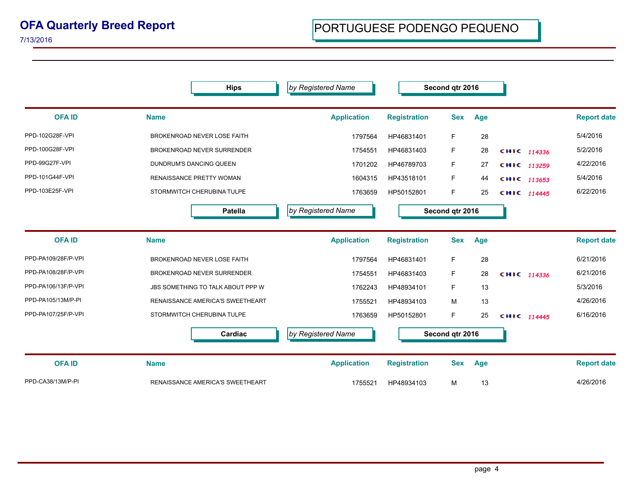7/13/2016

**Hips OFA ID Name Application Registration Sex Age by Registered Name Name Second qtr 2016 Report date** PPD-102G28F-VPI BROKENROAD NEVER LOSE FAITH 1997564 HP46831401 F 28 5/4/2016 PPD-100G28F-VPI BROKENROAD NEVER SURRENDER 1754551 HP46831403 F 28 **CHIC** 114336 5/2/2016 PPD-99G27F-VPI DUNDRUM'S DANCING QUEEN 1701202 HP46789703 F 27 **CHIC <sub>113259</sub> <sup>4/22/2016**</sup> PPD-101G44F-VPI **RENAISSANCE PRETTY WOMAN** 1604315 HP43518101 F 44 **CHIC** 113653 5/4/2016 PPD-103E25F-VPI **STORMWITCH CHERUBINA TULPE** 1763659 HP50152801 F 25 **CHIC** 114445 6/22/2016 **Patella OFA ID Name Application Registration Sex Age** *by Registered Name* **Second qtr 2016 Report date** PPD-PA109/28F/P-VPI BROKENROAD NEVER LOSE FAITH 1997564 HP46831401 F 28 6/21/2016 PPD-PA108/28F/P-VPI BROKENROAD NEVER SURRENDER 1754551 HP46831403 F 28 **CHIC** 114336 6/21/2016 PPD-PA106/13F/P-VPI JBS SOMETHING TO TALK ABOUT PPP W 1762243 HP48934101 F 13 5/3/2016 PPD-PA105/13M/P-PI RENAISSANCE AMERICA'S SWEETHEART 1999 1755521 HP48934103 M 13 M 13 4/26/2016 PPD-PA107/25F/P-VPI STORMWITCH CHERUBINA TULPE 1763659 HP50152801 F 25 **CHIC** 114445 6/16/2016 **Cardiac OFA ID Name Application Registration Sex Age by Registered Name Name Second qtr 2016 Report date** PPD-CA38/13M/P-PI RENAISSANCE AMERICA'S SWEETHEART 1755521 HP48934103 M 13 4/26/2016